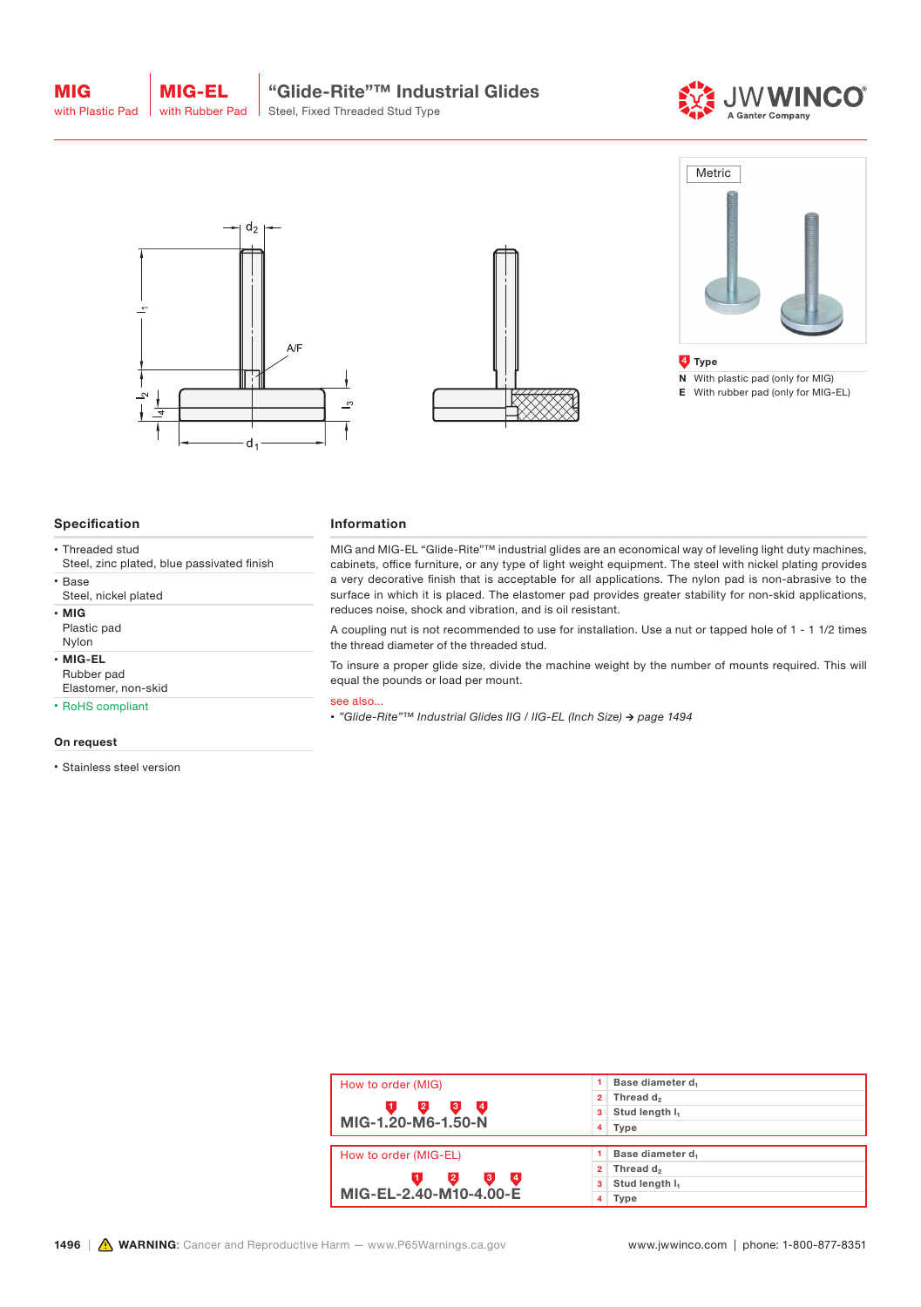MIG









## Specification

- Threaded stud
- Steel, zinc plated, blue passivated finish • Base
- 
- Steel, nickel plated
- MIG Plastic pad
- Nylon
- MIG-EL Rubber pad
- Elastomer, non-skid
- RoHS compliant

#### On request

• Stainless steel version

#### Information

MIG and MIG-EL "Glide-Rite"™ industrial glides are an economical way of leveling light duty machines, cabinets, office furniture, or any type of light weight equipment. The steel with nickel plating provides a very decorative finish that is acceptable for all applications. The nylon pad is non-abrasive to the surface in which it is placed. The elastomer pad provides greater stability for non-skid applications, reduces noise, shock and vibration, and is oil resistant.

A coupling nut is not recommended to use for installation. Use a nut or tapped hole of 1 - 1 1/2 times the thread diameter of the threaded stud.

To insure a proper glide size, divide the machine weight by the number of mounts required. This will equal the pounds or load per mount.

### see also...

*• "Glide-Rite"™ Industrial Glides IIG / IIG-EL (Inch Size) → page 1494*

| How to order (MIG)                           | Base diameter d                         |  |  |
|----------------------------------------------|-----------------------------------------|--|--|
|                                              | Thread d <sub>2</sub><br>$\overline{2}$ |  |  |
| $\mathbf{2}$<br>$\mathbf{3}$<br>ι4<br>.1.    | Stud length I <sub>1</sub><br>3         |  |  |
| MIG-1.20-M6-1.50-N                           | Type<br>4 <sup>1</sup>                  |  |  |
|                                              |                                         |  |  |
| How to order (MIG-EL)                        | Base diameter d <sub>1</sub>            |  |  |
|                                              | Thread d <sub>2</sub><br>2              |  |  |
| $\overline{A}$<br>$\overline{2}$<br>3,<br>Π. | Stud length I <sub>1</sub><br>3         |  |  |
| MIG-EL-2.40-M10-4.00-E                       | Type<br>4                               |  |  |